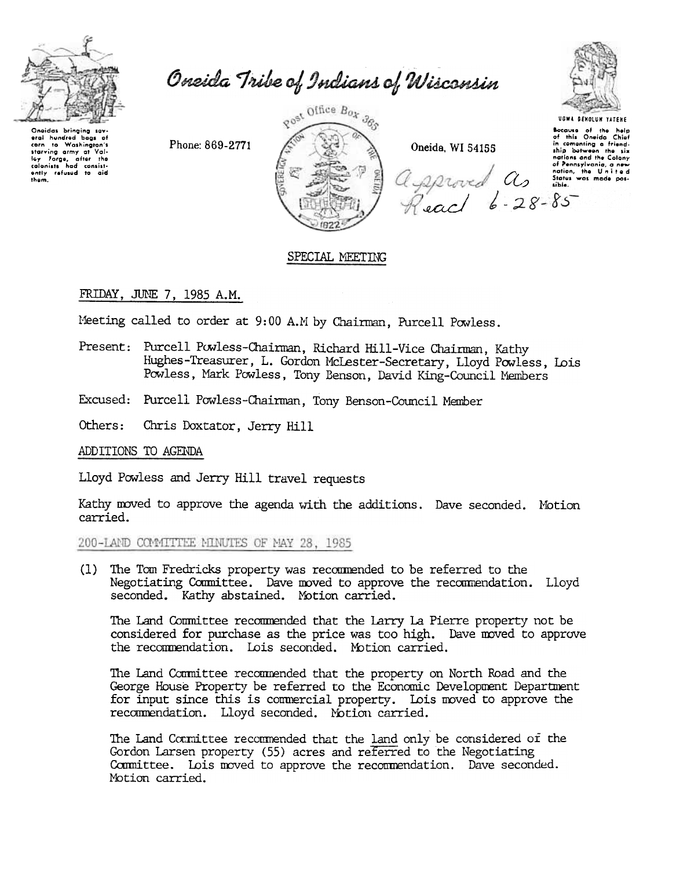

Oneida Tribe of Indians of Wisconsin

Onoidas bringing sav aral hundrad bags of eral nuneron bags or<br>corn to Washington's<br>starving army at Val-<br>tey Forge, after the<br>colonists had consist-<br>ently refused to aid<br>them.

Phone: 869-2771



Oneida, WI 54155

**UGWA DENOLUN YATENE** Bocause of the help<br>of this Oneida Chief in comenting a friend-<br>ship between the six mations and the Colony<br>of Pennsylvania, a new<br>Of Pennsylvania, a new<br>Reach 6-28-85

## SPECIAL MEETING

## FRIDAY, JUNE 7, 1985 A.M.

Meeting called to order at 9:00 A.M by Chairman, Purcell Powless.

- Present: Purcell Powless-Chairman, Richard Hill-Vice Chairman, Kathy Hughes-Treasurer, L. Gordon McLester-Secretary, Lloyd Powless, Lois Powless, Mark Powless, Tony Benson, David King-Council Members
- Excused: Purcell Powless-Chairman, Tony Benson-Council Member

Others: Chris Doxtator, Jerry Hill

ADDITIONS TO AGENDA

Lloyd Powless and Jerry Hill travel requests

Kathy moved to approve the agenda with the additions. Dave seconded. Motion carried.

200-LAND COMMITTEE MINUTES OF MAY 28, 1985

(1) The Tom Fredricks property was recommended to be referred to the Negotiating Committee. Dave moved to approve the recommendation. Lloyd seconded. Kathy abstained. Motion carried.

The Land Committee recommended that the Larry La Pierre property not be considered for purchase as the price was too high. Dave moved to approve the recommendation. Lois seconded. Motion carried.

The Land Committee recommended that the property on North Road and the George House Property be referred to the Economic Development Department for input since this is commercial property. Lois moved to approve the recommendation. Lloyd seconded. Motion carried.

The Land Committee recommended that the land only be considered of the Gordon Larsen property (55) acres and referred to the Negotiating Committee. Lois moved to approve the recommendation. Dave seconded. Motion carried.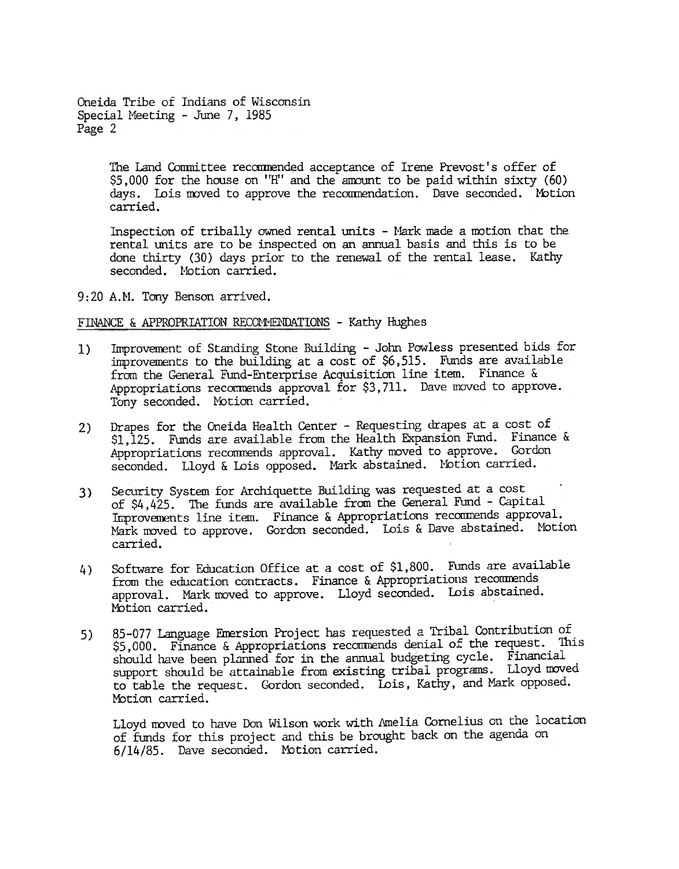Oneida Tribe of Indians of Wisconsin Special Meeting - June 7, 1985 Page 2

> The Land Committee recommended acceptance of Irene Prevost's offer of  $$5,000$  for the house on "H" and the amount to be paid within sixty (60) days. Lois moved to approve the recommendation. Dave seconded. Motion carried.

Inspection of tribally owned rental units - Mark made a motion that the rental units are to be inspected on an annual basis and this is to be done thirty (30) days prior to the renewal of the rental lease. Kathy seconded. Motion carried.

9:20 A.M. Tony Benson arrived.

## FINANCE & APPROPRIATION RECOMMENDATIONS - Kathy Hughes

- Improvement of Standing Stone Building -John Powless presented bids for improvements to the building at a cost of \$6,515. Funds are available from the General Fund-Enterprise Acquisition line item. Finance & Appropriations recommends approval for \$3,711. Dave moved to approve. Tony seconded. Notion carried. 1)
- 2) Drapes for the Oneida Health Center Requesting drapes at a cost of \$1,125. Funds are available from the Health Expansion Fund. Finance & Appropriations recommends approval. Kathy moved to approve. Gordon seconded. Lloyd & Lois opposed. Mark abstained. Motion carried.
- 3) Security System for Ardhiquette Building was requested at a cost of \$4,425. The funds are available from the General Fund - Capital Improvements line item. Finance & Appropriations recommends approval. Mark moved to approve. Gordon seconded. Lois & Dave abstained. Motion carried.
- Software for Education Office at a cost of \$1,800. Funds are available from the education contracts. Finance & Appropriations recommends approval. Mark moved to approve. Lloyd seconded. Lois abstained. Motion carried. 4)
- 85-077 language Fnersion Project has requested a Tribal Contribution of \$5,000. Finance & Appropriations recommends denial of the request. This should have been planned for in the annual budgeting cycle. Financial support should be attainable from existing tribal programs. Lloyd moved to table the request. Gordon seconded. Lois, Kathy, and Mark opposed. Motion carried. 5)

Lloyd moved to have Don Wilson work with Amelia Cornelius on the location of funds for this project and this be brought back on the agenda on 6/14/85. Dave seconded. Motion carried.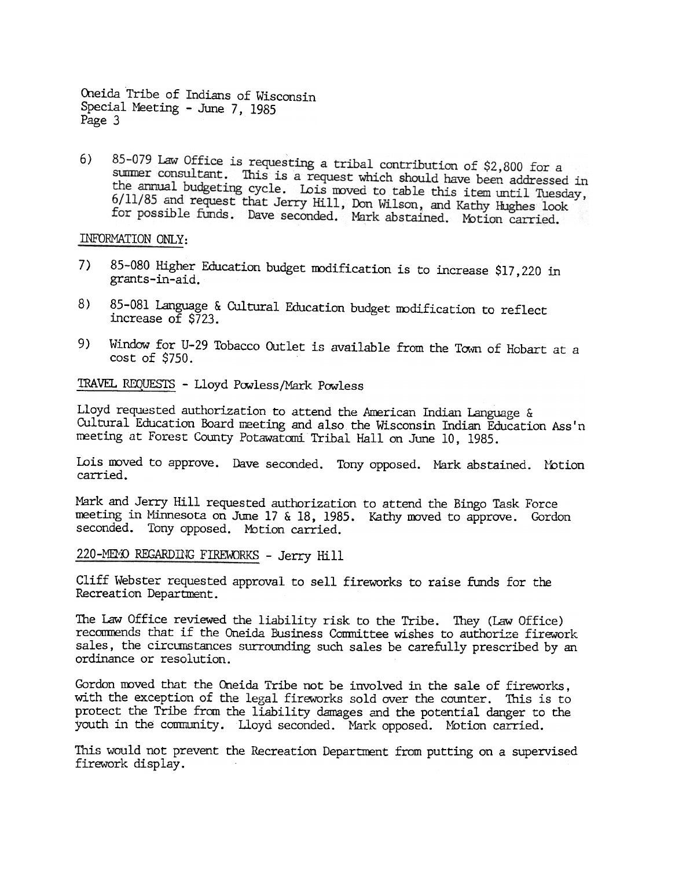Oneida Tribe of Indians of Wisconsin Special Meeting -June 7, 1985 Page 3

85-079 Law Office is requesting a tribal contribution of \$2,800 for a 6) summer consultant. This is a request which should have been addressed in the annual budgeting cycle. Lois moved to table this item until Tuesday, 6/11/85 and request that Jerry Hill, Don Wilson, and Kathy Hughes look for possible funds. Dave seconded. Mark abstained. Motion carried.

INFORMATION ONLY:

- 7) 85-080 Higher Education budget modification is to increase \$17,220 in grants-in-aid.
- 8) 85-081 Language & Cultural Education budget modification to reflect increase of \$723.
- 9) Window for U-29 Tobacco Outlet is available from the Town of Hobart at a cost of \$750.

TRAVEL REQUESTS -Lloyd Powless/Mark Powless

Lloyd requested authorization to attend the American Indian Language & Cultural Education Board meeting and also the Wisconsin Indian Education Ass'n meeting at Forest County Potawatomi Tribal Hall on June 10, 1985.

Lois moved to approve. Dave seconded. Tony opposed. Mark abstained. Motic carried.

Mark and Jerry Hill requested authorization to attend the Bingo Task Force meeting in Minnesota on June 17 & 18, 1985. Kathy moved to approve. Gordon seconded. Tony opposed. Motion carried.

220-MEMO REGARDING FIREWORKS - Jerry Hill

Cliff Webster requested approval to sell fireworks to raise funds for the Recreation Department.

The Law Office reviewed the liability risk to the Tribe. They (Law Office) recommends that if the Oneida Business Committee wishes to authorize firework sales, the circumstances surrounding sudh sales be carefully prescribed by an ordinance or resolution.

Gordon moved that the Oneida Tribe not be involved in the sale of fireworks, with the exception of the legal fireworks sold over the counter. This is to protect the Tribe from the liability damages and the potential danger to the youth in the community. Lloyd seconded. Mark opposed. Motion carried.

This would not prevent the Recreation Department from putting on a supervised firework display.